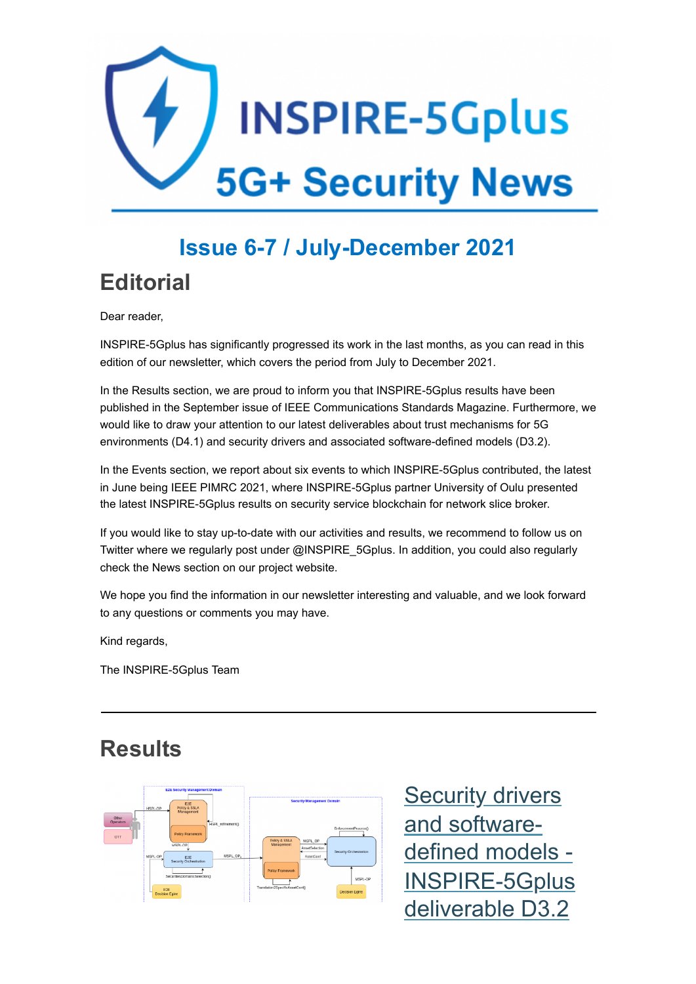

# **Issue 6-7 / July-December 2021**

**Editorial**

Dear reader,

INSPIRE-5Gplus has significantly progressed its work in the last months, as you can read in this edition of our newsletter, which covers the period from July to December 2021.

In the Results section, we are proud to inform you that INSPIRE-5Gplus results have been published in the September issue of IEEE Communications Standards Magazine. Furthermore, we would like to draw your attention to our latest deliverables about trust mechanisms for 5G environments (D4.1) and security drivers and associated software-defined models (D3.2).

In the Events section, we report about six events to which INSPIRE-5Gplus contributed, the latest in June being IEEE PIMRC 2021, where INSPIRE-5Gplus partner University of Oulu presented the latest INSPIRE-5Gplus results on security service blockchain for network slice broker.

If you would like to stay up-to-date with our activities and results, we recommend to follow us on Twitter where we regularly post under @INSPIRE\_5Gplus. In addition, you could also regularly check the News section on our project website.

We hope you find the information in our newsletter interesting and valuable, and we look forward to any questions or comments you may have.

Kind regards,

The INSPIRE-5Gplus Team

#### **Results**



**Security drivers** and softwaredefined models - [INSPIRE-5Gplus](https://www.inspire-5gplus.eu/security-drivers-and-associated-software-defined-models-inspire-5gplus-deliverable-d3-2/) deliverable D3.2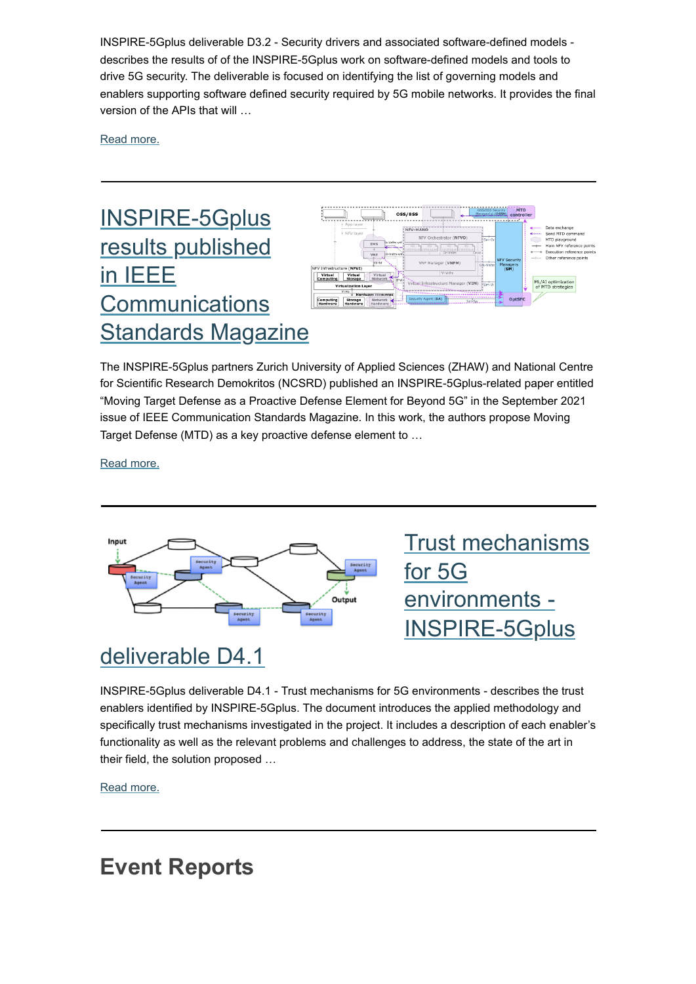INSPIRE-5Gplus deliverable D3.2 - Security drivers and associated software-defined models describes the results of of the INSPIRE-5Gplus work on software-defined models and tools to drive 5G security. The deliverable is focused on identifying the list of governing models and enablers supporting software defined security required by 5G mobile networks. It provides the final version of the APIs that will …

[Read more.](https://www.inspire-5gplus.eu/security-drivers-and-associated-software-defined-models-inspire-5gplus-deliverable-d3-2/)

## INSPIRE-5Gplus results published in IEEE **Communications [Standards Magazine](https://www.inspire-5gplus.eu/inspire-5gplus-results-published-in-september-issue-of-ieee-communications-standards-magazine/)**



The INSPIRE-5Gplus partners Zurich University of Applied Sciences (ZHAW) and National Centre for Scientific Research Demokritos (NCSRD) published an INSPIRE-5Gplus-related paper entitled "Moving Target Defense as a Proactive Defense Element for Beyond 5G" in the September 2021 issue of IEEE Communication Standards Magazine. In this work, the authors propose Moving Target Defense (MTD) as a key proactive defense element to …

[Read more.](https://www.inspire-5gplus.eu/inspire-5gplus-results-published-in-september-issue-of-ieee-communications-standards-magazine/)



## deliverable D4.1

INSPIRE-5Gplus deliverable D4.1 - Trust mechanisms for 5G environments - describes the trust enablers identified by INSPIRE-5Gplus. The document introduces the applied methodology and specifically trust mechanisms investigated in the project. It includes a description of each enabler's functionality as well as the relevant problems and challenges to address, the state of the art in their field, the solution proposed …

[Read more.](https://www.inspire-5gplus.eu/trust-mechanisms-for-5g-environments-inspire-5gplus-deliverable-d4-1/)

## **Event Reports**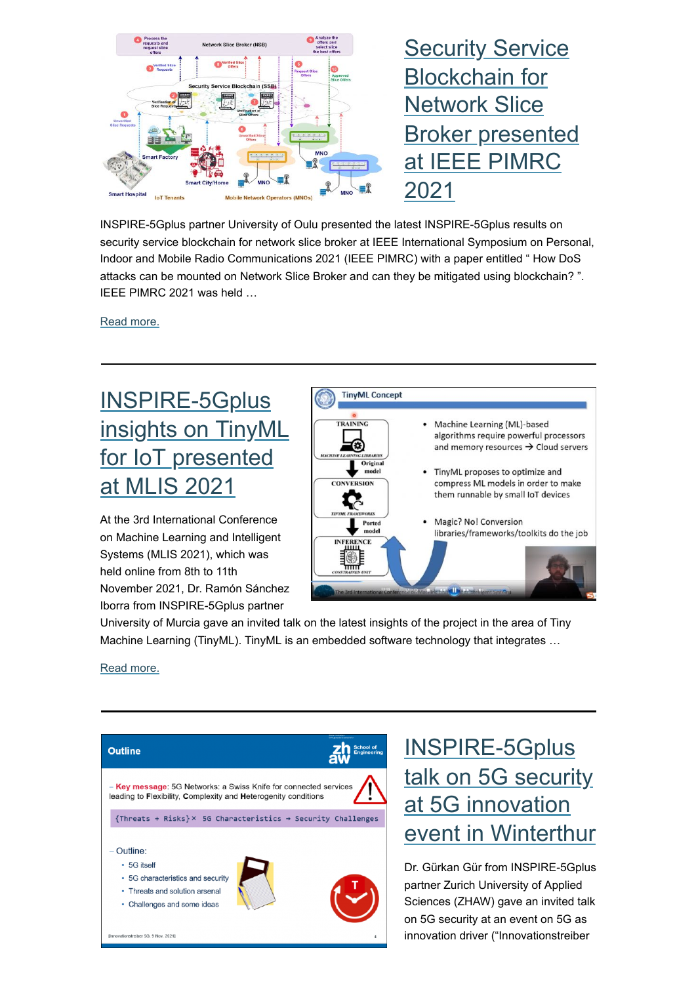

INSPIRE-5Gplus partner University of Oulu presented the latest INSPIRE-5Gplus results on security service blockchain for network slice broker at IEEE International Symposium on Personal, Indoor and Mobile Radio Communications 2021 (IEEE PIMRC) with a paper entitled " How DoS attacks can be mounted on Network Slice Broker and can they be mitigated using blockchain? ". IEEE PIMRC 2021 was held …

[Read more.](https://www.inspire-5gplus.eu/security-service-blockchain-for-network-slice-broker-presented-at-ieee-pimrc-2021/)

# INSPIRE-5Gplus [insights on TinyML](https://www.inspire-5gplus.eu/inspire-5gplus-insights-on-tinyml-for-iot-presented-at-mlis-2021/) for IoT presented at MLIS 2021

At the 3rd International Conference on Machine Learning and Intelligent Systems (MLIS 2021), which was held online from 8th to 11th November 2021, Dr. Ramón Sánchez Iborra from INSPIRE-5Gplus partner



University of Murcia gave an invited talk on the latest insights of the project in the area of Tiny Machine Learning (TinyML). TinyML is an embedded software technology that integrates …

[Read more.](https://www.inspire-5gplus.eu/inspire-5gplus-insights-on-tinyml-for-iot-presented-at-mlis-2021/)



## INSPIRE-5Gplus talk on 5G security at 5G innovation [event in Winterthur](https://www.inspire-5gplus.eu/inspire-5gplus-talk-on-5g-security-at-5g-innovation-event-in-winterthur/)

Dr. Gürkan Gür from INSPIRE-5Gplus partner Zurich University of Applied Sciences (ZHAW) gave an invited talk on 5G security at an event on 5G as innovation driver ("Innovationstreiber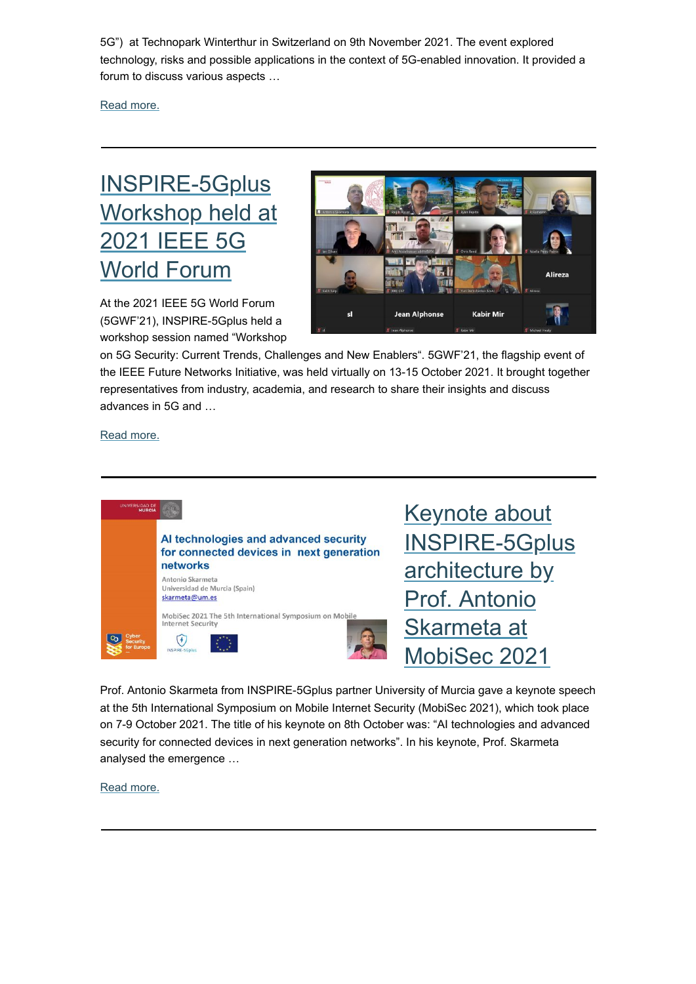5G") at Technopark Winterthur in Switzerland on 9th November 2021. The event explored technology, risks and possible applications in the context of 5G-enabled innovation. It provided a forum to discuss various aspects …

[Read more.](https://www.inspire-5gplus.eu/inspire-5gplus-talk-on-5g-security-at-5g-innovation-event-in-winterthur/)

#### INSPIRE-5Gplus [Workshop held at](https://www.inspire-5gplus.eu/inspire-5gplus-workshop-held-at-2021-ieee-5g-world-forum/) 2021 IEEE 5G World Forum

At the 2021 IEEE 5G World Forum (5GWF'21), INSPIRE-5Gplus held a workshop session named "Workshop



on 5G Security: Current Trends, Challenges and New Enablers". 5GWF'21, the flagship event of the IEEE Future Networks Initiative, was held virtually on 13-15 October 2021. It brought together representatives from industry, academia, and research to share their insights and discuss advances in 5G and …

[Read more.](https://www.inspire-5gplus.eu/inspire-5gplus-workshop-held-at-2021-ieee-5g-world-forum/)



Prof. Antonio Skarmeta from INSPIRE-5Gplus partner University of Murcia gave a keynote speech at the 5th International Symposium on Mobile Internet Security (MobiSec 2021), which took place on 7-9 October 2021. The title of his keynote on 8th October was: "AI technologies and advanced security for connected devices in next generation networks". In his keynote, Prof. Skarmeta analysed the emergence …

[Read more.](https://www.inspire-5gplus.eu/keynote-about-inspire-5gplus-infrastructure-by-prof-antonio-skarmeta-at-mobisec-2021/)